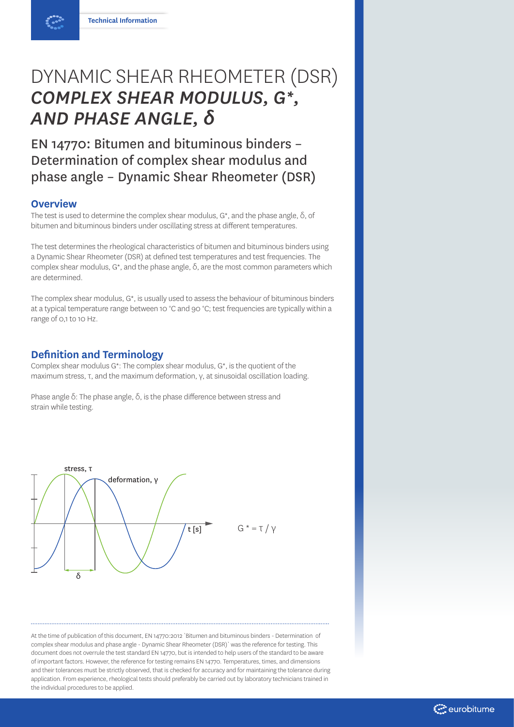# DYNAMIC SHEAR RHEOMETER (DSR) *COMPLEX SHEAR MODULUS, G\*, AND PHASE ANGLE, δ*

EN 14770: Bitumen and bituminous binders – Determination of complex shear modulus and phase angle – Dynamic Shear Rheometer (DSR)

## **Overview**

The test is used to determine the complex shear modulus,  $G^*$ , and the phase angle,  $\delta$ , of bitumen and bituminous binders under oscillating stress at different temperatures.

The test determines the rheological characteristics of bitumen and bituminous binders using a Dynamic Shear Rheometer (DSR) at defined test temperatures and test frequencies. The complex shear modulus, G\*, and the phase angle, δ, are the most common parameters which are determined.

The complex shear modulus, G\*, is usually used to assess the behaviour of bituminous binders at a typical temperature range between 10 °C and 90 °C; test frequencies are typically within a range of 0,1 to 10 Hz.

### **Definition and Terminology**

Complex shear modulus G\*: The complex shear modulus, G\*, is the quotient of the maximum stress, τ, and the maximum deformation, γ, at sinusoidal oscillation loading.

Phase angle δ: The phase angle, δ, is the phase difference between stress and strain while testing.



At the time of publication of this document, EN 14770:2012 `Bitumen and bituminous binders - Determination of complex shear modulus and phase angle - Dynamic Shear Rheometer (DSR)` was the reference for testing. This document does not overrule the test standard EN 14770, but is intended to help users of the standard to be aware of important factors. However, the reference for testing remains EN 14770. Temperatures, times, and dimensions and their tolerances must be strictly observed, that is checked for accuracy and for maintaining the tolerance during application. From experience, rheological tests should preferably be carried out by laboratory technicians trained in the individual procedures to be applied.